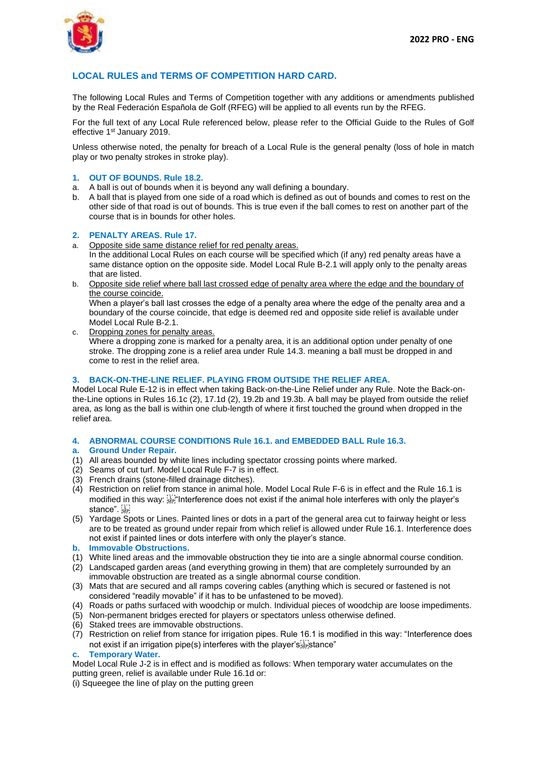

# **LOCAL RULES and TERMS OF COMPETITION HARD CARD.**

The following Local Rules and Terms of Competition together with any additions or amendments published by the Real Federación Española de Golf (RFEG) will be applied to all events run by the RFEG.

For the full text of any Local Rule referenced below, please refer to the Official Guide to the Rules of Golf effective 1st January 2019.

Unless otherwise noted, the penalty for breach of a Local Rule is the general penalty (loss of hole in match play or two penalty strokes in stroke play).

#### **1. OUT OF BOUNDS. Rule 18.2.**

- a. A ball is out of bounds when it is beyond any wall defining a boundary.
- b. A ball that is played from one side of a road which is defined as out of bounds and comes to rest on the other side of that road is out of bounds. This is true even if the ball comes to rest on another part of the course that is in bounds for other holes.

#### **2. PENALTY AREAS. Rule 17.**

Opposite side same distance relief for red penalty areas.

In the additional Local Rules on each course will be specified which (if any) red penalty areas have a same distance option on the opposite side. Model Local Rule B-2.1 will apply only to the penalty areas that are listed.

b. Opposite side relief where ball last crossed edge of penalty area where the edge and the boundary of the course coincide.

When a player's ball last crosses the edge of a penalty area where the edge of the penalty area and a boundary of the course coincide, that edge is deemed red and opposite side relief is available under Model Local Rule B-2.1.

c. Dropping zones for penalty areas. Where a dropping zone is marked for a penalty area, it is an additional option under penalty of one stroke. The dropping zone is a relief area under Rule 14.3. meaning a ball must be dropped in and come to rest in the relief area.

#### **3. BACK-ON-THE-LINE RELIEF. PLAYING FROM OUTSIDE THE RELIEF AREA.**

Model Local Rule E-12 is in effect when taking Back-on-the-Line Relief under any Rule. Note the Back-onthe-Line options in Rules 16.1c (2), 17.1d (2), 19.2b and 19.3b. A ball may be played from outside the relief area, as long as the ball is within one club-length of where it first touched the ground when dropped in the relief area.

#### **4. ABNORMAL COURSE CONDITIONS Rule 16.1. and EMBEDDED BALL Rule 16.3.**

#### **a. Ground Under Repair.**

- (1) All areas bounded by white lines including spectator crossing points where marked.
- (2) Seams of cut turf. Model Local Rule F-7 is in effect.
- (3) French drains (stone-filled drainage ditches).
- (4) Restriction on relief from stance in animal hole. Model Local Rule F-6 is in effect and the Rule 16.1 is modified in this way:  $\frac{1}{34}$  Interference does not exist if the animal hole interferes with only the player's stance".
- (5) Yardage Spots or Lines. Painted lines or dots in a part of the general area cut to fairway height or less are to be treated as ground under repair from which relief is allowed under Rule 16.1. Interference does not exist if painted lines or dots interfere with only the player's stance.
- **lmmovable Obstructions.**
- (1) White lined areas and the immovable obstruction they tie into are a single abnormal course condition.
- (2) Landscaped garden areas (and everything growing in them) that are completely surrounded by an immovable obstruction are treated as a single abnormal course condition.
- (3) Mats that are secured and all ramps covering cables (anything which is secured or fastened is not considered "readily movable" if it has to be unfastened to be moved).
- (4) Roads or paths surfaced with woodchip or mulch. Individual pieces of woodchip are loose impediments.
- (5) Non-permanent bridges erected for players or spectators unless otherwise defined.
- (6) Staked trees are immovable obstructions.
- (7) Restriction on relief from stance for irrigation pipes. Rule 16.1 is modified in this way: "Interference does not exist if an irrigation pipe(s) interferes with the player's Fightance"

#### **c. Temporary Water.**

Model Local Rule J-2 is in effect and is modified as follows: When temporary water accumulates on the putting green, relief is available under Rule 16.1d or:

(i) Squeegee the line of play on the putting green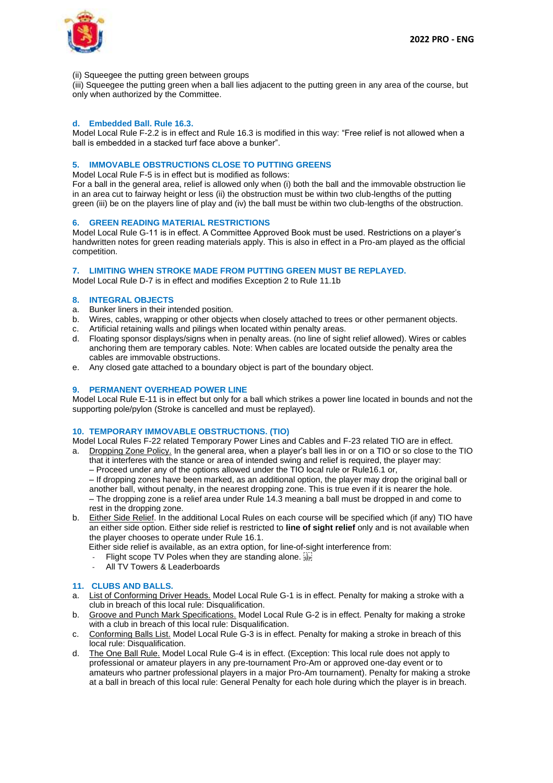

#### (ii) Squeegee the putting green between groups

(iii) Squeegee the putting green when a ball lies adjacent to the putting green in any area of the course, but only when authorized by the Committee.

### **d. Embedded Ball. Rule 16.3.**

Model Local Rule F-2.2 is in effect and Rule 16.3 is modified in this way: "Free relief is not allowed when a ball is embedded in a stacked turf face above a bunker".

## **5. IMMOVABLE OBSTRUCTIONS CLOSE TO PUTTING GREENS**

Model Local Rule F-5 is in effect but is modified as follows:

For a ball in the general area, relief is allowed only when (i) both the ball and the immovable obstruction lie in an area cut to fairway height or less (ii) the obstruction must be within two club-lengths of the putting green (iii) be on the players line of play and (iv) the ball must be within two club-lengths of the obstruction.

#### **6. GREEN READING MATERIAL RESTRICTIONS**

Model Local Rule G-11 is in effect. A Committee Approved Book must be used. Restrictions on a player's handwritten notes for green reading materials apply. This is also in effect in a Pro-am played as the official competition.

#### **7. LIMITING WHEN STROKE MADE FROM PUTTING GREEN MUST BE REPLAYED.**

Model Local Rule D-7 is in effect and modifies Exception 2 to Rule 11.1b

## **8. INTEGRAL OBJECTS**

- a. Bunker liners in their intended position.
- Wires, cables, wrapping or other objects when closely attached to trees or other permanent objects.
- c. Artificial retaining walls and pilings when located within penalty areas.
- d. Floating sponsor displays/signs when in penalty areas. (no line of sight relief allowed). Wires or cables anchoring them are temporary cables. Note: When cables are located outside the penalty area the cables are immovable obstructions.
- e. Any closed gate attached to a boundary object is part of the boundary object.

## **9. PERMANENT OVERHEAD POWER LINE**

Model Local Rule E-11 is in effect but only for a ball which strikes a power line located in bounds and not the supporting pole/pylon (Stroke is cancelled and must be replayed).

### **10. TEMPORARY IMMOVABLE OBSTRUCTIONS. (TIO)**

Model Local Rules F-22 related Temporary Power Lines and Cables and F-23 related TIO are in effect.

- a. Dropping Zone Policy. In the general area, when a player's ball lies in or on a TIO or so close to the TIO that it interferes with the stance or area of intended swing and relief is required, the player may:
	- Proceed under any of the options allowed under the TIO local rule or Rule16.1 or,
	- If dropping zones have been marked, as an additional option, the player may drop the original ball or

another ball, without penalty, in the nearest dropping zone. This is true even if it is nearer the hole. – The dropping zone is a relief area under Rule 14.3 meaning a ball must be dropped in and come to rest in the dropping zone.

b. Either Side Relief. In the additional Local Rules on each course will be specified which (if any) TIO have an either side option. Either side relief is restricted to **line of sight relief** only and is not available when the player chooses to operate under Rule 16.1.

Either side relief is available, as an extra option, for line-of-sight interference from:

- Flight scope TV Poles when they are standing alone.
- All TV Towers & Leaderboards

# **11. CLUBS AND BALLS.**

- a. List of Conforming Driver Heads. Model Local Rule G-1 is in effect. Penalty for making a stroke with a club in breach of this local rule: Disqualification.
- b. Groove and Punch Mark Specifications. Model Local Rule G-2 is in effect. Penalty for making a stroke with a club in breach of this local rule: Disqualification.
- c. Conforming Balls List. Model Local Rule G-3 is in effect. Penalty for making a stroke in breach of this local rule: Disqualification.
- d. The One Ball Rule. Model Local Rule G-4 is in effect. (Exception: This local rule does not apply to professional or amateur players in any pre-tournament Pro-Am or approved one-day event or to amateurs who partner professional players in a major Pro-Am tournament). Penalty for making a stroke at a ball in breach of this local rule: General Penalty for each hole during which the player is in breach.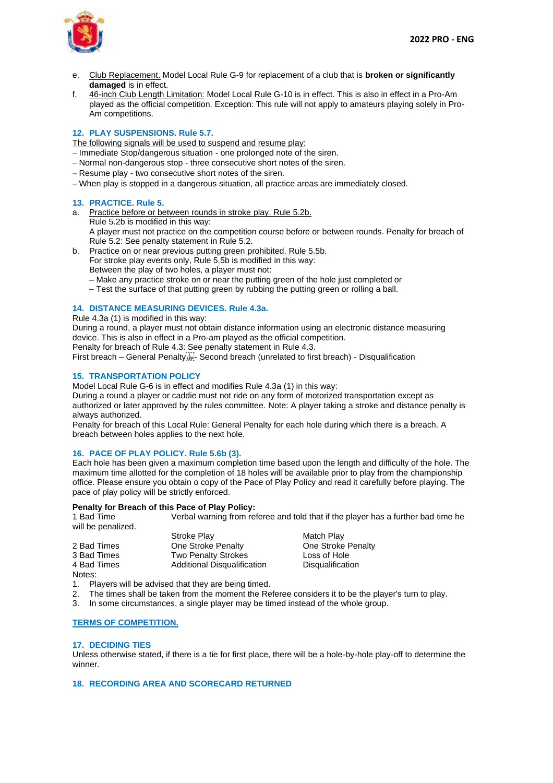

- e. Club Replacement. Model Local Rule G-9 for replacement of a club that is **broken or significantly damaged** is in effect.
- f. 46-inch Club Length Limitation: Model Local Rule G-10 is in effect. This is also in effect in a Pro-Am played as the official competition. Exception: This rule will not apply to amateurs playing solely in Pro-Am competitions.

# **12. PLAY SUSPENSIONS. Rule 5.7.**

The following signals will be used to suspend and resume play:

- − Immediate Stop/dangerous situation one prolonged note of the siren.
- − Normal non-dangerous stop three consecutive short notes of the siren.
- − Resume play two consecutive short notes of the siren.
- − When play is stopped in a dangerous situation, all practice areas are immediately closed.

## **13. PRACTICE. Rule 5.**

- a. Practice before or between rounds in stroke play. Rule 5.2b. Rule 5.2b is modified in this way: A player must not practice on the competition course before or between rounds. Penalty for breach of Rule 5.2: See penalty statement in Rule 5.2.
- b. Practice on or near previous putting green prohibited. Rule 5.5b. For stroke play events only, Rule 5.5b is modified in this way: Between the play of two holes, a player must not:
	- Make any practice stroke on or near the putting green of the hole just completed or
	- Test the surface of that putting green by rubbing the putting green or rolling a ball.

## **14. DISTANCE MEASURING DEVICES. Rule 4.3a.**

Rule 4.3a (1) is modified in this way:

During a round, a player must not obtain distance information using an electronic distance measuring device. This is also in effect in a Pro-am played as the official competition.

Penalty for breach of Rule 4.3: See penalty statement in Rule 4.3.

First breach – General Penalty<sup>1</sup><sub>55</sub><sup>-</sup> Second breach (unrelated to first breach) - Disqualification

## **15. TRANSPORTATION POLICY**

Model Local Rule G-6 is in effect and modifies Rule 4.3a (1) in this way:

During a round a player or caddie must not ride on any form of motorized transportation except as authorized or later approved by the rules committee. Note: A player taking a stroke and distance penalty is always authorized.

Penalty for breach of this Local Rule: General Penalty for each hole during which there is a breach. A breach between holes applies to the next hole.

## **16. PACE OF PLAY POLICY. Rule 5.6b (3).**

Each hole has been given a maximum completion time based upon the length and difficulty of the hole. The maximum time allotted for the completion of 18 holes will be available prior to play from the championship office. Please ensure you obtain o copy of the Pace of Play Policy and read it carefully before playing. The pace of play policy will be strictly enforced.

# **Penalty for Breach of this Pace of Play Policy:**<br> **1 Bad Time Werbal warning from retray**

Verbal warning from referee and told that if the player has a further bad time he will be penalized.

|             | Stroke Play                 | Match Play              |
|-------------|-----------------------------|-------------------------|
| 2 Bad Times | One Stroke Penalty          | One Stroke Penalty      |
| 3 Bad Times | <b>Two Penalty Strokes</b>  | Loss of Hole            |
| 4 Bad Times | Additional Disqualification | <b>Disqualification</b> |
| Notes:      |                             |                         |

- 1. Players will be advised that they are being timed.
- 2. The times shall be taken from the moment the Referee considers it to be the player's turn to play.
- 3. In some circumstances, a single player may be timed instead of the whole group.

#### **TERMS OF COMPETITION.**

#### **17. DECIDING TIES**

Unless otherwise stated, if there is a tie for first place, there will be a hole-by-hole play-off to determine the winner.

#### **18. RECORDING AREA AND SCORECARD RETURNED**